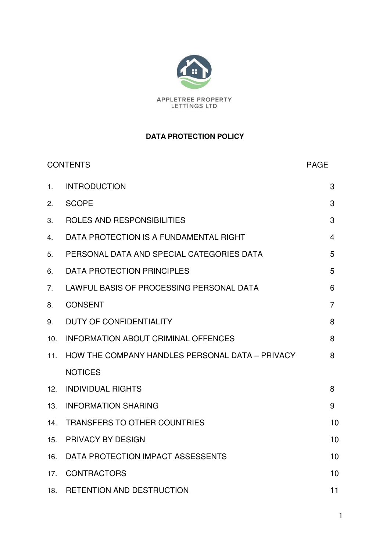

## **DATA PROTECTION POLICY**

| <b>CONTENTS</b> |                                                 | <b>PAGE</b>    |
|-----------------|-------------------------------------------------|----------------|
| 1.              | <b>INTRODUCTION</b>                             | 3              |
| 2.              | <b>SCOPE</b>                                    | 3              |
| 3.              | ROLES AND RESPONSIBILITIES                      | 3              |
| 4.              | DATA PROTECTION IS A FUNDAMENTAL RIGHT          | $\overline{4}$ |
| 5.              | PERSONAL DATA AND SPECIAL CATEGORIES DATA       | 5              |
| 6.              | <b>DATA PROTECTION PRINCIPLES</b>               | 5              |
| 7.              | LAWFUL BASIS OF PROCESSING PERSONAL DATA        | 6              |
| 8.              | <b>CONSENT</b>                                  | 7              |
| 9.              | <b>DUTY OF CONFIDENTIALITY</b>                  | 8              |
| 10.             | <b>INFORMATION ABOUT CRIMINAL OFFENCES</b>      | 8              |
| 11.             | HOW THE COMPANY HANDLES PERSONAL DATA - PRIVACY | 8              |
|                 | <b>NOTICES</b>                                  |                |
| 12.             | <b>INDIVIDUAL RIGHTS</b>                        | 8              |
| 13.             | <b>INFORMATION SHARING</b>                      | 9              |
| 14.             | <b>TRANSFERS TO OTHER COUNTRIES</b>             | 10             |
| 15.             | <b>PRIVACY BY DESIGN</b>                        | 10             |
| 16.             | DATA PROTECTION IMPACT ASSESSENTS               | 10             |
| 17.             | <b>CONTRACTORS</b>                              | 10             |
| 18.             | <b>RETENTION AND DESTRUCTION</b>                | 11             |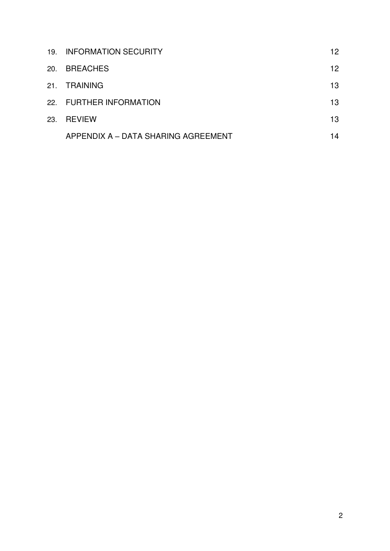|     | 19. INFORMATION SECURITY            | 12 |
|-----|-------------------------------------|----|
| 20. | <b>BREACHES</b>                     | 12 |
| 21. | <b>TRAINING</b>                     | 13 |
|     | 22. FURTHER INFORMATION             | 13 |
| 23. | <b>REVIEW</b>                       | 13 |
|     | APPENDIX A – DATA SHARING AGREEMENT | 14 |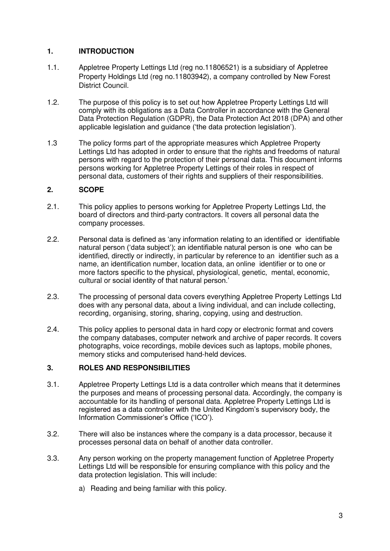## **1. INTRODUCTION**

- 1.1. Appletree Property Lettings Ltd (reg no.11806521) is a subsidiary of Appletree Property Holdings Ltd (reg no.11803942), a company controlled by New Forest District Council.
- 1.2. The purpose of this policy is to set out how Appletree Property Lettings Ltd will comply with its obligations as a Data Controller in accordance with the General Data Protection Regulation (GDPR), the Data Protection Act 2018 (DPA) and other applicable legislation and guidance ('the data protection legislation').
- 1.3 The policy forms part of the appropriate measures which Appletree Property Lettings Ltd has adopted in order to ensure that the rights and freedoms of natural persons with regard to the protection of their personal data. This document informs persons working for Appletree Property Lettings of their roles in respect of personal data, customers of their rights and suppliers of their responsibilities.

## **2. SCOPE**

- 2.1. This policy applies to persons working for Appletree Property Lettings Ltd, the board of directors and third-party contractors. It covers all personal data the company processes.
- 2.2. Personal data is defined as 'any information relating to an identified or identifiable natural person ('data subject'); an identifiable natural person is one who can be identified, directly or indirectly, in particular by reference to an identifier such as a name, an identification number, location data, an online identifier or to one or more factors specific to the physical, physiological, genetic, mental, economic, cultural or social identity of that natural person.'
- 2.3. The processing of personal data covers everything Appletree Property Lettings Ltd does with any personal data, about a living individual, and can include collecting, recording, organising, storing, sharing, copying, using and destruction.
- 2.4. This policy applies to personal data in hard copy or electronic format and covers the company databases, computer network and archive of paper records. It covers photographs, voice recordings, mobile devices such as laptops, mobile phones, memory sticks and computerised hand-held devices.

## **3. ROLES AND RESPONSIBILITIES**

- 3.1. Appletree Property Lettings Ltd is a data controller which means that it determines the purposes and means of processing personal data. Accordingly, the company is accountable for its handling of personal data. Appletree Property Lettings Ltd is registered as a data controller with the United Kingdom's supervisory body, the Information Commissioner's Office ('ICO').
- 3.2. There will also be instances where the company is a data processor, because it processes personal data on behalf of another data controller.
- 3.3. Any person working on the property management function of Appletree Property Lettings Ltd will be responsible for ensuring compliance with this policy and the data protection legislation. This will include:
	- a) Reading and being familiar with this policy.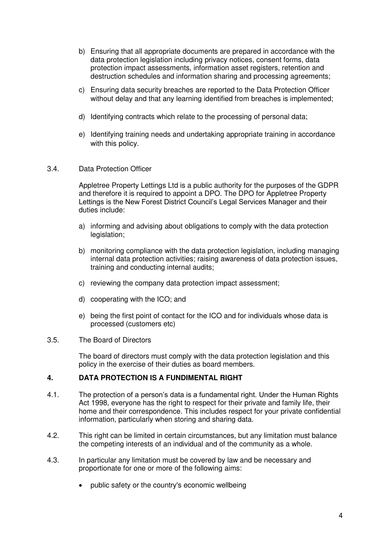- b) Ensuring that all appropriate documents are prepared in accordance with the data protection legislation including privacy notices, consent forms, data protection impact assessments, information asset registers, retention and destruction schedules and information sharing and processing agreements;
- c) Ensuring data security breaches are reported to the Data Protection Officer without delay and that any learning identified from breaches is implemented;
- d) Identifying contracts which relate to the processing of personal data;
- e) Identifying training needs and undertaking appropriate training in accordance with this policy.
- 3.4. Data Protection Officer

Appletree Property Lettings Ltd is a public authority for the purposes of the GDPR and therefore it is required to appoint a DPO. The DPO for Appletree Property Lettings is the New Forest District Council's Legal Services Manager and their duties include:

- a) informing and advising about obligations to comply with the data protection legislation;
- b) monitoring compliance with the data protection legislation, including managing internal data protection activities; raising awareness of data protection issues, training and conducting internal audits;
- c) reviewing the company data protection impact assessment;
- d) cooperating with the ICO; and
- e) being the first point of contact for the ICO and for individuals whose data is processed (customers etc)

#### 3.5. The Board of Directors

The board of directors must comply with the data protection legislation and this policy in the exercise of their duties as board members.

#### **4. DATA PROTECTION IS A FUNDIMENTAL RIGHT**

- 4.1. The protection of a person's data is a fundamental right. Under the Human Rights Act 1998, everyone has the right to respect for their private and family life, their home and their correspondence. This includes respect for your private confidential information, particularly when storing and sharing data.
- 4.2. This right can be limited in certain circumstances, but any limitation must balance the competing interests of an individual and of the community as a whole.
- 4.3. In particular any limitation must be covered by law and be necessary and proportionate for one or more of the following aims:
	- public safety or the country's economic wellbeing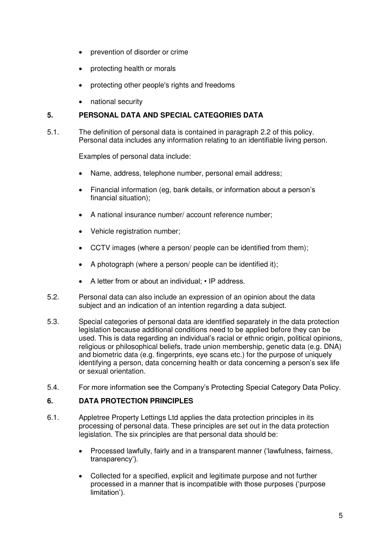- prevention of disorder or crime
- protecting health or morals
- protecting other people's rights and freedoms
- national security

## **5. PERSONAL DATA AND SPECIAL CATEGORIES DATA**

5.1. The definition of personal data is contained in paragraph 2.2 of this policy. Personal data includes any information relating to an identifiable living person.

Examples of personal data include:

- Name, address, telephone number, personal email address;
- Financial information (eg, bank details, or information about a person's financial situation);
- A national insurance number/ account reference number;
- Vehicle registration number:
- CCTV images (where a person/ people can be identified from them);
- A photograph (where a person/ people can be identified it);
- A letter from or about an individual: IP address.
- 5.2. Personal data can also include an expression of an opinion about the data subject and an indication of an intention regarding a data subject.
- 5.3. Special categories of personal data are identified separately in the data protection legislation because additional conditions need to be applied before they can be used. This is data regarding an individual's racial or ethnic origin, political opinions, religious or philosophical beliefs, trade union membership, genetic data (e.g. DNA) and biometric data (e.g. fingerprints, eye scans etc.) for the purpose of uniquely identifying a person, data concerning health or data concerning a person's sex life or sexual orientation.
- 5.4. For more information see the Company's Protecting Special Category Data Policy.

#### **6. DATA PROTECTION PRINCIPLES**

- 6.1. Appletree Property Lettings Ltd applies the data protection principles in its processing of personal data. These principles are set out in the data protection legislation. The six principles are that personal data should be:
	- Processed lawfully, fairly and in a transparent manner ('lawfulness, fairness, transparency').
	- Collected for a specified, explicit and legitimate purpose and not further processed in a manner that is incompatible with those purposes ('purpose limitation').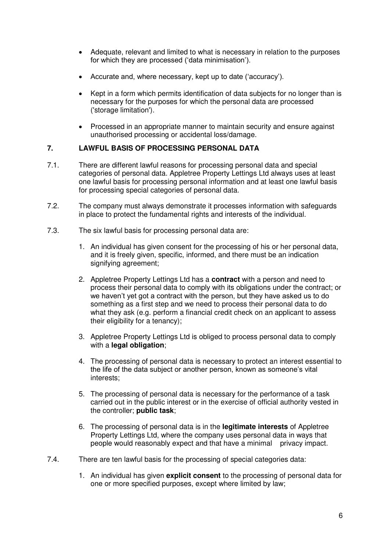- Adequate, relevant and limited to what is necessary in relation to the purposes for which they are processed ('data minimisation').
- Accurate and, where necessary, kept up to date ('accuracy').
- Kept in a form which permits identification of data subjects for no longer than is necessary for the purposes for which the personal data are processed ('storage limitation').
- Processed in an appropriate manner to maintain security and ensure against unauthorised processing or accidental loss/damage.

## **7. LAWFUL BASIS OF PROCESSING PERSONAL DATA**

- 7.1. There are different lawful reasons for processing personal data and special categories of personal data. Appletree Property Lettings Ltd always uses at least one lawful basis for processing personal information and at least one lawful basis for processing special categories of personal data.
- 7.2. The company must always demonstrate it processes information with safeguards in place to protect the fundamental rights and interests of the individual.
- 7.3. The six lawful basis for processing personal data are:
	- 1. An individual has given consent for the processing of his or her personal data, and it is freely given, specific, informed, and there must be an indication signifying agreement;
	- 2. Appletree Property Lettings Ltd has a **contract** with a person and need to process their personal data to comply with its obligations under the contract; or we haven't yet got a contract with the person, but they have asked us to do something as a first step and we need to process their personal data to do what they ask (e.g. perform a financial credit check on an applicant to assess their eligibility for a tenancy);
	- 3. Appletree Property Lettings Ltd is obliged to process personal data to comply with a **legal obligation**;
	- 4. The processing of personal data is necessary to protect an interest essential to the life of the data subject or another person, known as someone's vital interests;
	- 5. The processing of personal data is necessary for the performance of a task carried out in the public interest or in the exercise of official authority vested in the controller; **public task**;
	- 6. The processing of personal data is in the **legitimate interests** of Appletree Property Lettings Ltd, where the company uses personal data in ways that people would reasonably expect and that have a minimal privacy impact.
- 7.4. There are ten lawful basis for the processing of special categories data:
	- 1. An individual has given **explicit consent** to the processing of personal data for one or more specified purposes, except where limited by law;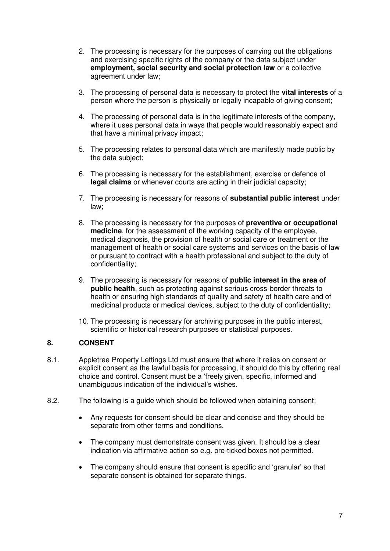- 2. The processing is necessary for the purposes of carrying out the obligations and exercising specific rights of the company or the data subject under **employment, social security and social protection law** or a collective agreement under law;
- 3. The processing of personal data is necessary to protect the **vital interests** of a person where the person is physically or legally incapable of giving consent;
- 4. The processing of personal data is in the legitimate interests of the company, where it uses personal data in ways that people would reasonably expect and that have a minimal privacy impact;
- 5. The processing relates to personal data which are manifestly made public by the data subject;
- 6. The processing is necessary for the establishment, exercise or defence of **legal claims** or whenever courts are acting in their judicial capacity;
- 7. The processing is necessary for reasons of **substantial public interest** under law;
- 8. The processing is necessary for the purposes of **preventive or occupational medicine**, for the assessment of the working capacity of the employee, medical diagnosis, the provision of health or social care or treatment or the management of health or social care systems and services on the basis of law or pursuant to contract with a health professional and subject to the duty of confidentiality;
- 9. The processing is necessary for reasons of **public interest in the area of public health**, such as protecting against serious cross-border threats to health or ensuring high standards of quality and safety of health care and of medicinal products or medical devices, subject to the duty of confidentiality;
- 10. The processing is necessary for archiving purposes in the public interest, scientific or historical research purposes or statistical purposes.

## **8. CONSENT**

- 8.1. Appletree Property Lettings Ltd must ensure that where it relies on consent or explicit consent as the lawful basis for processing, it should do this by offering real choice and control. Consent must be a 'freely given, specific, informed and unambiguous indication of the individual's wishes.
- 8.2. The following is a guide which should be followed when obtaining consent:
	- Any requests for consent should be clear and concise and they should be separate from other terms and conditions.
	- The company must demonstrate consent was given. It should be a clear indication via affirmative action so e.g. pre-ticked boxes not permitted.
	- The company should ensure that consent is specific and 'granular' so that separate consent is obtained for separate things.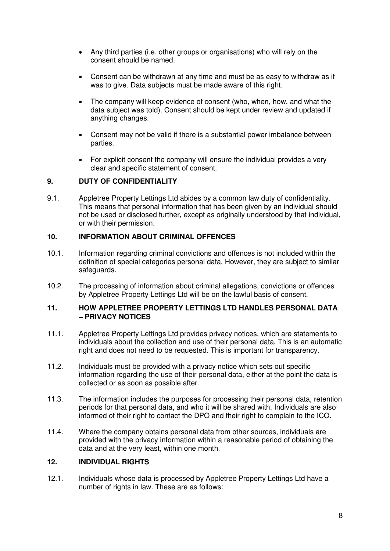- Any third parties (i.e. other groups or organisations) who will rely on the consent should be named.
- Consent can be withdrawn at any time and must be as easy to withdraw as it was to give. Data subjects must be made aware of this right.
- The company will keep evidence of consent (who, when, how, and what the data subject was told). Consent should be kept under review and updated if anything changes.
- Consent may not be valid if there is a substantial power imbalance between parties.
- For explicit consent the company will ensure the individual provides a very clear and specific statement of consent.

## **9. DUTY OF CONFIDENTIALITY**

9.1. Appletree Property Lettings Ltd abides by a common law duty of confidentiality. This means that personal information that has been given by an individual should not be used or disclosed further, except as originally understood by that individual, or with their permission.

## **10. INFORMATION ABOUT CRIMINAL OFFENCES**

- 10.1. Information regarding criminal convictions and offences is not included within the definition of special categories personal data. However, they are subject to similar safeguards.
- 10.2. The processing of information about criminal allegations, convictions or offences by Appletree Property Lettings Ltd will be on the lawful basis of consent.

#### **11. HOW APPLETREE PROPERTY LETTINGS LTD HANDLES PERSONAL DATA – PRIVACY NOTICES**

- 11.1. Appletree Property Lettings Ltd provides privacy notices, which are statements to individuals about the collection and use of their personal data. This is an automatic right and does not need to be requested. This is important for transparency.
- 11.2. Individuals must be provided with a privacy notice which sets out specific information regarding the use of their personal data, either at the point the data is collected or as soon as possible after.
- 11.3. The information includes the purposes for processing their personal data, retention periods for that personal data, and who it will be shared with. Individuals are also informed of their right to contact the DPO and their right to complain to the ICO.
- 11.4. Where the company obtains personal data from other sources, individuals are provided with the privacy information within a reasonable period of obtaining the data and at the very least, within one month.

## **12. INDIVIDUAL RIGHTS**

12.1. Individuals whose data is processed by Appletree Property Lettings Ltd have a number of rights in law. These are as follows: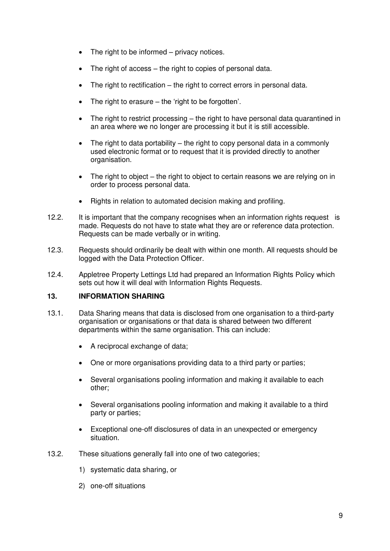- The right to be informed privacy notices.
- The right of access the right to copies of personal data.
- The right to rectification the right to correct errors in personal data.
- The right to erasure  $-$  the 'right to be forgotten'.
- The right to restrict processing the right to have personal data quarantined in an area where we no longer are processing it but it is still accessible.
- The right to data portability the right to copy personal data in a commonly used electronic format or to request that it is provided directly to another organisation.
- The right to object the right to object to certain reasons we are relying on in order to process personal data.
- Rights in relation to automated decision making and profiling.
- 12.2. It is important that the company recognises when an information rights request is made. Requests do not have to state what they are or reference data protection. Requests can be made verbally or in writing.
- 12.3. Requests should ordinarily be dealt with within one month. All requests should be logged with the Data Protection Officer.
- 12.4. Appletree Property Lettings Ltd had prepared an Information Rights Policy which sets out how it will deal with Information Rights Requests.

#### **13. INFORMATION SHARING**

- 13.1. Data Sharing means that data is disclosed from one organisation to a third-party organisation or organisations or that data is shared between two different departments within the same organisation. This can include:
	- A reciprocal exchange of data;
	- One or more organisations providing data to a third party or parties;
	- Several organisations pooling information and making it available to each other;
	- Several organisations pooling information and making it available to a third party or parties;
	- Exceptional one-off disclosures of data in an unexpected or emergency situation.
- 13.2. These situations generally fall into one of two categories;
	- 1) systematic data sharing, or
	- 2) one-off situations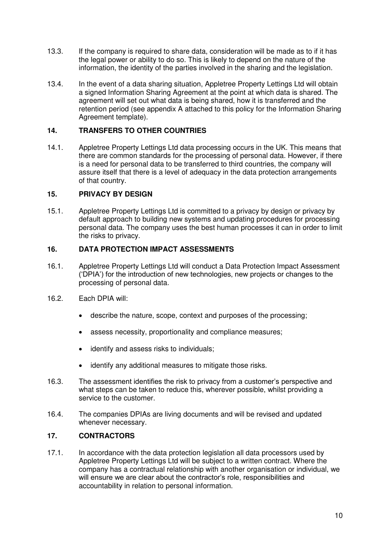- 13.3. If the company is required to share data, consideration will be made as to if it has the legal power or ability to do so. This is likely to depend on the nature of the information, the identity of the parties involved in the sharing and the legislation.
- 13.4. In the event of a data sharing situation, Appletree Property Lettings Ltd will obtain a signed Information Sharing Agreement at the point at which data is shared. The agreement will set out what data is being shared, how it is transferred and the retention period (see appendix A attached to this policy for the Information Sharing Agreement template).

## **14. TRANSFERS TO OTHER COUNTRIES**

14.1. Appletree Property Lettings Ltd data processing occurs in the UK. This means that there are common standards for the processing of personal data. However, if there is a need for personal data to be transferred to third countries, the company will assure itself that there is a level of adequacy in the data protection arrangements of that country.

#### **15. PRIVACY BY DESIGN**

15.1. Appletree Property Lettings Ltd is committed to a privacy by design or privacy by default approach to building new systems and updating procedures for processing personal data. The company uses the best human processes it can in order to limit the risks to privacy.

## **16. DATA PROTECTION IMPACT ASSESSMENTS**

- 16.1. Appletree Property Lettings Ltd will conduct a Data Protection Impact Assessment ('DPIA') for the introduction of new technologies, new projects or changes to the processing of personal data.
- 16.2. Each DPIA will:
	- describe the nature, scope, context and purposes of the processing;
	- assess necessity, proportionality and compliance measures;
	- identify and assess risks to individuals;
	- identify any additional measures to mitigate those risks.
- 16.3. The assessment identifies the risk to privacy from a customer's perspective and what steps can be taken to reduce this, wherever possible, whilst providing a service to the customer.
- 16.4. The companies DPIAs are living documents and will be revised and updated whenever necessary.

## **17. CONTRACTORS**

17.1. In accordance with the data protection legislation all data processors used by Appletree Property Lettings Ltd will be subject to a written contract. Where the company has a contractual relationship with another organisation or individual, we will ensure we are clear about the contractor's role, responsibilities and accountability in relation to personal information.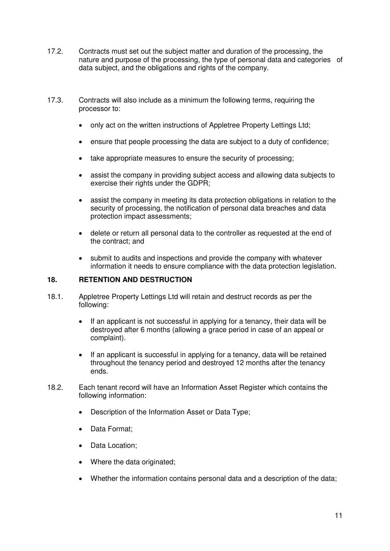- 17.2. Contracts must set out the subject matter and duration of the processing, the nature and purpose of the processing, the type of personal data and categories of data subject, and the obligations and rights of the company.
- 17.3. Contracts will also include as a minimum the following terms, requiring the processor to:
	- only act on the written instructions of Appletree Property Lettings Ltd;
	- ensure that people processing the data are subject to a duty of confidence;
	- take appropriate measures to ensure the security of processing;
	- assist the company in providing subject access and allowing data subjects to exercise their rights under the GDPR;
	- assist the company in meeting its data protection obligations in relation to the security of processing, the notification of personal data breaches and data protection impact assessments;
	- delete or return all personal data to the controller as requested at the end of the contract; and
	- submit to audits and inspections and provide the company with whatever information it needs to ensure compliance with the data protection legislation.

### **18. RETENTION AND DESTRUCTION**

- 18.1. Appletree Property Lettings Ltd will retain and destruct records as per the following:
	- If an applicant is not successful in applying for a tenancy, their data will be destroyed after 6 months (allowing a grace period in case of an appeal or complaint).
	- If an applicant is successful in applying for a tenancy, data will be retained throughout the tenancy period and destroyed 12 months after the tenancy ends.
- 18.2. Each tenant record will have an Information Asset Register which contains the following information:
	- Description of the Information Asset or Data Type;
	- Data Format;
	- Data Location;
	- Where the data originated;
	- Whether the information contains personal data and a description of the data;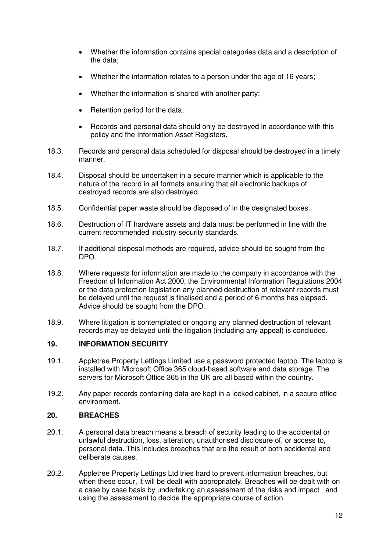- Whether the information contains special categories data and a description of the data;
- Whether the information relates to a person under the age of 16 years;
- Whether the information is shared with another party;
- Retention period for the data:
- Records and personal data should only be destroyed in accordance with this policy and the Information Asset Registers.
- 18.3. Records and personal data scheduled for disposal should be destroyed in a timely manner.
- 18.4. Disposal should be undertaken in a secure manner which is applicable to the nature of the record in all formats ensuring that all electronic backups of destroyed records are also destroyed.
- 18.5. Confidential paper waste should be disposed of in the designated boxes.
- 18.6. Destruction of IT hardware assets and data must be performed in line with the current recommended industry security standards.
- 18.7. If additional disposal methods are required, advice should be sought from the DPO.
- 18.8. Where requests for information are made to the company in accordance with the Freedom of Information Act 2000, the Environmental Information Regulations 2004 or the data protection legislation any planned destruction of relevant records must be delayed until the request is finalised and a period of 6 months has elapsed. Advice should be sought from the DPO.
- 18.9. Where litigation is contemplated or ongoing any planned destruction of relevant records may be delayed until the litigation (including any appeal) is concluded.

#### **19. INFORMATION SECURITY**

- 19.1. Appletree Property Lettings Limited use a password protected laptop. The laptop is installed with Microsoft Office 365 cloud-based software and data storage. The servers for Microsoft Office 365 in the UK are all based within the country.
- 19.2. Any paper records containing data are kept in a locked cabinet, in a secure office environment.

#### **20. BREACHES**

- 20.1. A personal data breach means a breach of security leading to the accidental or unlawful destruction, loss, alteration, unauthorised disclosure of, or access to, personal data. This includes breaches that are the result of both accidental and deliberate causes.
- 20.2. Appletree Property Lettings Ltd tries hard to prevent information breaches, but when these occur, it will be dealt with appropriately. Breaches will be dealt with on a case by case basis by undertaking an assessment of the risks and impact and using the assessment to decide the appropriate course of action.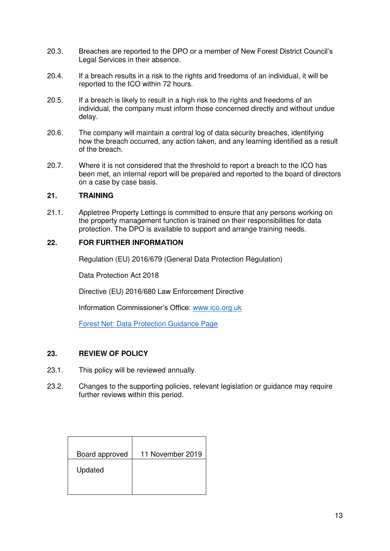- 20.3. Breaches are reported to the DPO or a member of New Forest District Council's Legal Services in their absence.
- 20.4. If a breach results in a risk to the rights and freedoms of an individual, it will be reported to the ICO within 72 hours.
- 20.5. If a breach is likely to result in a high risk to the rights and freedoms of an individual, the company must inform those concerned directly and without undue delay.
- 20.6. The company will maintain a central log of data security breaches, identifying how the breach occurred, any action taken, and any learning identified as a result of the breach.
- 20.7. Where it is not considered that the threshold to report a breach to the ICO has been met, an internal report will be prepared and reported to the board of directors on a case by case basis.

#### **21. TRAINING**

21.1. Appletree Property Lettings is committed to ensure that any persons working on the property management function is trained on their responsibilities for data protection. The DPO is available to support and arrange training needs.

## **22. FOR FURTHER INFORMATION**

Regulation (EU) 2016/679 (General Data Protection Regulation)

Data Protection Act 2018

Directive (EU) 2016/680 Law Enforcement Directive

Information Commissioner's Office: [www.ico.org.uk](http://www.ico.org.uk/)

[Forest Net: Data Protection Guidance Page](http://forestnet/dataprotection) 

#### **23. REVIEW OF POLICY**

- 23.1. This policy will be reviewed annually.
- 23.2. Changes to the supporting policies, relevant legislation or guidance may require further reviews within this period.

| Board approved | 11 November 2019 |
|----------------|------------------|
| Updated        |                  |
|                |                  |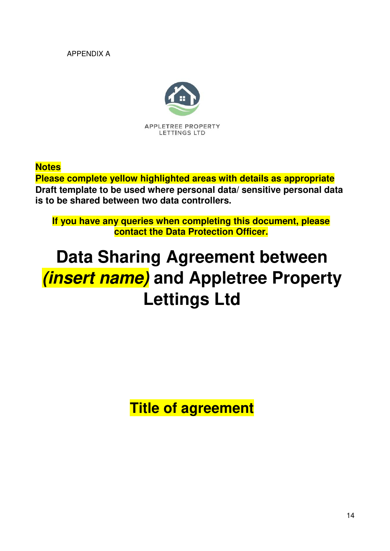APPENDIX A



**Notes** 

**Please complete yellow highlighted areas with details as appropriate Draft template to be used where personal data/ sensitive personal data is to be shared between two data controllers.** 

**If you have any queries when completing this document, please contact the Data Protection Officer.** 

# **Data Sharing Agreement between (insert name) and Appletree Property Lettings Ltd**

**Title of agreement**